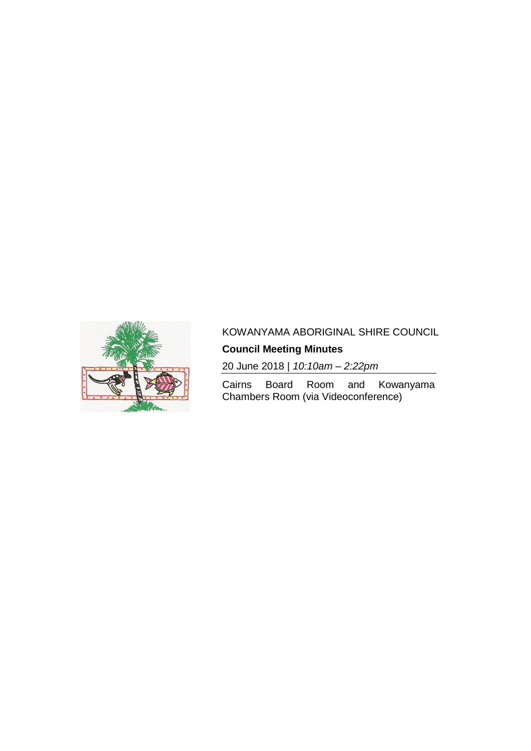

# KOWANYAMA ABORIGINAL SHIRE COUNCIL

# **Council Meeting Minutes**

20 June 2018 | *10:10am – 2:22pm*

Cairns Board Room and Kowanyama Chambers Room (via Videoconference)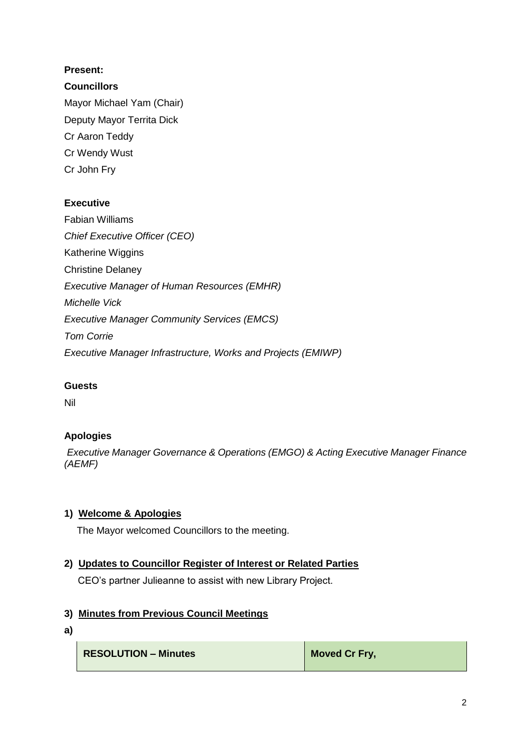## **Present:**

## **Councillors**

Mayor Michael Yam (Chair) Deputy Mayor Territa Dick Cr Aaron Teddy Cr Wendy Wust Cr John Fry

## **Executive**

Fabian Williams *Chief Executive Officer (CEO)* Katherine Wiggins Christine Delaney *Executive Manager of Human Resources (EMHR) Michelle Vick Executive Manager Community Services (EMCS) Tom Corrie Executive Manager Infrastructure, Works and Projects (EMIWP)*

## **Guests**

Nil

# **Apologies**

*Executive Manager Governance & Operations (EMGO) & Acting Executive Manager Finance (AEMF)*

# **1) Welcome & Apologies**

The Mayor welcomed Councillors to the meeting.

## **2) Updates to Councillor Register of Interest or Related Parties**

CEO's partner Julieanne to assist with new Library Project.

## **3) Minutes from Previous Council Meetings**

**a)**

| <b>RESOLUTION - Minutes</b> | Moved Cr Fry, |
|-----------------------------|---------------|
|-----------------------------|---------------|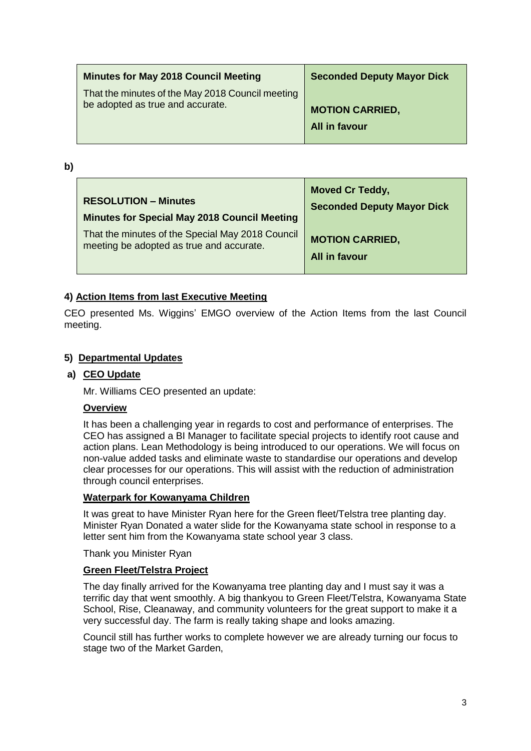| <b>Minutes for May 2018 Council Meeting</b>      | <b>Seconded Deputy Mayor Dick</b> |
|--------------------------------------------------|-----------------------------------|
| That the minutes of the May 2018 Council meeting | <b>MOTION CARRIED,</b>            |
| be adopted as true and accurate.                 | All in favour                     |

**b)** 

| <b>RESOLUTION – Minutes</b>                         | <b>Moved Cr Teddy,</b>            |
|-----------------------------------------------------|-----------------------------------|
| <b>Minutes for Special May 2018 Council Meeting</b> | <b>Seconded Deputy Mayor Dick</b> |
| That the minutes of the Special May 2018 Council    | <b>MOTION CARRIED,</b>            |
| meeting be adopted as true and accurate.            | All in favour                     |

## **4) Action Items from last Executive Meeting**

CEO presented Ms. Wiggins' EMGO overview of the Action Items from the last Council meeting.

#### **5) Departmental Updates**

#### **a) CEO Update**

Mr. Williams CEO presented an update:

#### **Overview**

It has been a challenging year in regards to cost and performance of enterprises. The CEO has assigned a BI Manager to facilitate special projects to identify root cause and action plans. Lean Methodology is being introduced to our operations. We will focus on non-value added tasks and eliminate waste to standardise our operations and develop clear processes for our operations. This will assist with the reduction of administration through council enterprises.

#### **Waterpark for Kowanyama Children**

It was great to have Minister Ryan here for the Green fleet/Telstra tree planting day. Minister Ryan Donated a water slide for the Kowanyama state school in response to a letter sent him from the Kowanyama state school year 3 class.

Thank you Minister Ryan

#### **Green Fleet/Telstra Project**

The day finally arrived for the Kowanyama tree planting day and I must say it was a terrific day that went smoothly. A big thankyou to Green Fleet/Telstra, Kowanyama State School, Rise, Cleanaway, and community volunteers for the great support to make it a very successful day. The farm is really taking shape and looks amazing.

Council still has further works to complete however we are already turning our focus to stage two of the Market Garden,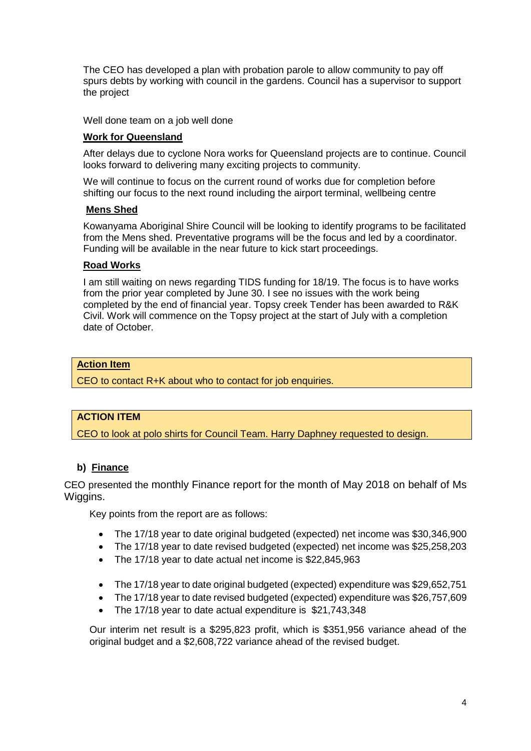The CEO has developed a plan with probation parole to allow community to pay off spurs debts by working with council in the gardens. Council has a supervisor to support the project

Well done team on a job well done

## **Work for Queensland**

After delays due to cyclone Nora works for Queensland projects are to continue. Council looks forward to delivering many exciting projects to community.

We will continue to focus on the current round of works due for completion before shifting our focus to the next round including the airport terminal, wellbeing centre

#### **Mens Shed**

Kowanyama Aboriginal Shire Council will be looking to identify programs to be facilitated from the Mens shed. Preventative programs will be the focus and led by a coordinator. Funding will be available in the near future to kick start proceedings.

### **Road Works**

I am still waiting on news regarding TIDS funding for 18/19. The focus is to have works from the prior year completed by June 30. I see no issues with the work being completed by the end of financial year. Topsy creek Tender has been awarded to R&K Civil. Work will commence on the Topsy project at the start of July with a completion date of October.

### **Action Item**

CEO to contact R+K about who to contact for job enquiries.

## **ACTION ITEM**

CEO to look at polo shirts for Council Team. Harry Daphney requested to design.

## **b) Finance**

CEO presented the monthly Finance report for the month of May 2018 on behalf of Ms Wiggins.

Key points from the report are as follows:

- The 17/18 year to date original budgeted (expected) net income was \$30,346,900
- The 17/18 year to date revised budgeted (expected) net income was \$25,258,203
- The 17/18 year to date actual net income is \$22,845,963
- The 17/18 year to date original budgeted (expected) expenditure was \$29,652,751
- The 17/18 year to date revised budgeted (expected) expenditure was \$26,757,609
- The 17/18 year to date actual expenditure is \$21,743,348

Our interim net result is a \$295,823 profit, which is \$351,956 variance ahead of the original budget and a \$2,608,722 variance ahead of the revised budget.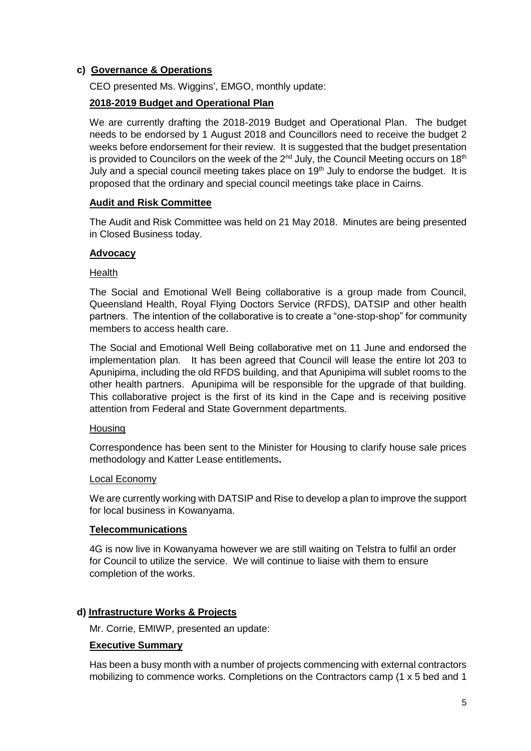## **c) Governance & Operations**

CEO presented Ms. Wiggins', EMGO, monthly update:

## **2018-2019 Budget and Operational Plan**

We are currently drafting the 2018-2019 Budget and Operational Plan. The budget needs to be endorsed by 1 August 2018 and Councillors need to receive the budget 2 weeks before endorsement for their review. It is suggested that the budget presentation is provided to Councilors on the week of the  $2^{nd}$  July, the Council Meeting occurs on 18<sup>th</sup> July and a special council meeting takes place on 19<sup>th</sup> July to endorse the budget. It is proposed that the ordinary and special council meetings take place in Cairns.

### **Audit and Risk Committee**

The Audit and Risk Committee was held on 21 May 2018. Minutes are being presented in Closed Business today.

### **Advocacy**

#### **Health**

The Social and Emotional Well Being collaborative is a group made from Council, Queensland Health, Royal Flying Doctors Service (RFDS), DATSIP and other health partners. The intention of the collaborative is to create a "one-stop-shop" for community members to access health care.

The Social and Emotional Well Being collaborative met on 11 June and endorsed the implementation plan. It has been agreed that Council will lease the entire lot 203 to Apunipima, including the old RFDS building, and that Apunipima will sublet rooms to the other health partners. Apunipima will be responsible for the upgrade of that building. This collaborative project is the first of its kind in the Cape and is receiving positive attention from Federal and State Government departments.

#### **Housing**

Correspondence has been sent to the Minister for Housing to clarify house sale prices methodology and Katter Lease entitlements**.**

#### Local Economy

We are currently working with DATSIP and Rise to develop a plan to improve the support for local business in Kowanyama.

#### **Telecommunications**

4G is now live in Kowanyama however we are still waiting on Telstra to fulfil an order for Council to utilize the service. We will continue to liaise with them to ensure completion of the works.

#### **d) Infrastructure Works & Projects**

Mr. Corrie, EMIWP, presented an update:

#### **Executive Summary**

Has been a busy month with a number of projects commencing with external contractors mobilizing to commence works. Completions on the Contractors camp (1 x 5 bed and 1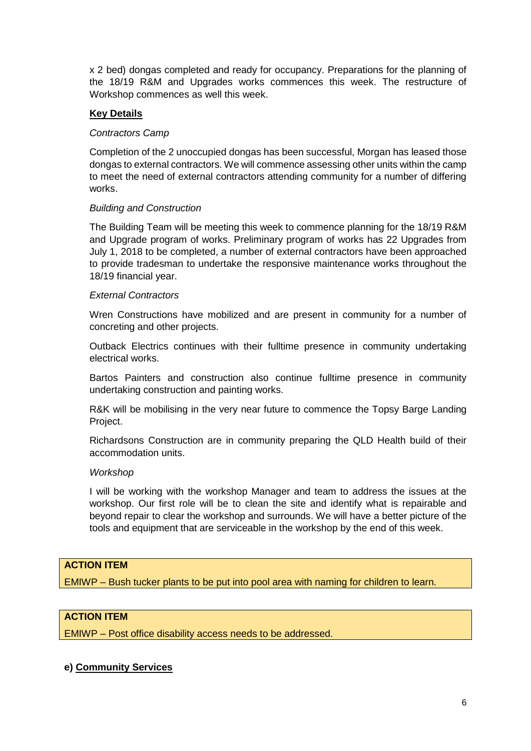x 2 bed) dongas completed and ready for occupancy. Preparations for the planning of the 18/19 R&M and Upgrades works commences this week. The restructure of Workshop commences as well this week.

## **Key Details**

#### *Contractors Camp*

Completion of the 2 unoccupied dongas has been successful, Morgan has leased those dongas to external contractors. We will commence assessing other units within the camp to meet the need of external contractors attending community for a number of differing works.

#### *Building and Construction*

The Building Team will be meeting this week to commence planning for the 18/19 R&M and Upgrade program of works. Preliminary program of works has 22 Upgrades from July 1, 2018 to be completed, a number of external contractors have been approached to provide tradesman to undertake the responsive maintenance works throughout the 18/19 financial year.

#### *External Contractors*

Wren Constructions have mobilized and are present in community for a number of concreting and other projects.

Outback Electrics continues with their fulltime presence in community undertaking electrical works.

Bartos Painters and construction also continue fulltime presence in community undertaking construction and painting works.

R&K will be mobilising in the very near future to commence the Topsy Barge Landing Project.

Richardsons Construction are in community preparing the QLD Health build of their accommodation units.

#### *Workshop*

I will be working with the workshop Manager and team to address the issues at the workshop. Our first role will be to clean the site and identify what is repairable and beyond repair to clear the workshop and surrounds. We will have a better picture of the tools and equipment that are serviceable in the workshop by the end of this week.

## **ACTION ITEM**

EMIWP – Bush tucker plants to be put into pool area with naming for children to learn.

#### **ACTION ITEM**

EMIWP – Post office disability access needs to be addressed.

#### **e) Community Services**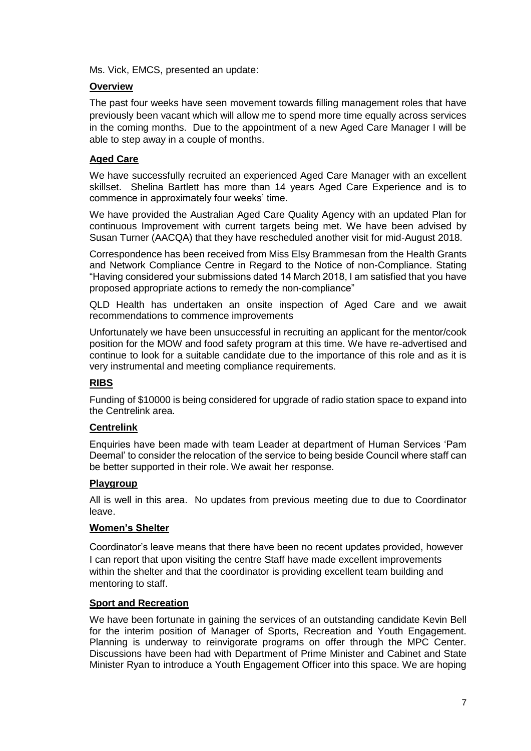Ms. Vick, EMCS, presented an update:

## **Overview**

The past four weeks have seen movement towards filling management roles that have previously been vacant which will allow me to spend more time equally across services in the coming months. Due to the appointment of a new Aged Care Manager I will be able to step away in a couple of months.

### **Aged Care**

We have successfully recruited an experienced Aged Care Manager with an excellent skillset. Shelina Bartlett has more than 14 years Aged Care Experience and is to commence in approximately four weeks' time.

We have provided the Australian Aged Care Quality Agency with an updated Plan for continuous Improvement with current targets being met. We have been advised by Susan Turner (AACQA) that they have rescheduled another visit for mid-August 2018.

Correspondence has been received from Miss Elsy Brammesan from the Health Grants and Network Compliance Centre in Regard to the Notice of non-Compliance. Stating "Having considered your submissions dated 14 March 2018, I am satisfied that you have proposed appropriate actions to remedy the non-compliance"

QLD Health has undertaken an onsite inspection of Aged Care and we await recommendations to commence improvements

Unfortunately we have been unsuccessful in recruiting an applicant for the mentor/cook position for the MOW and food safety program at this time. We have re-advertised and continue to look for a suitable candidate due to the importance of this role and as it is very instrumental and meeting compliance requirements.

#### **RIBS**

Funding of \$10000 is being considered for upgrade of radio station space to expand into the Centrelink area.

#### **Centrelink**

Enquiries have been made with team Leader at department of Human Services 'Pam Deemal' to consider the relocation of the service to being beside Council where staff can be better supported in their role. We await her response.

#### **Playgroup**

All is well in this area. No updates from previous meeting due to due to Coordinator leave.

#### **Women's Shelter**

Coordinator's leave means that there have been no recent updates provided, however I can report that upon visiting the centre Staff have made excellent improvements within the shelter and that the coordinator is providing excellent team building and mentoring to staff.

#### **Sport and Recreation**

We have been fortunate in gaining the services of an outstanding candidate Kevin Bell for the interim position of Manager of Sports, Recreation and Youth Engagement. Planning is underway to reinvigorate programs on offer through the MPC Center. Discussions have been had with Department of Prime Minister and Cabinet and State Minister Ryan to introduce a Youth Engagement Officer into this space. We are hoping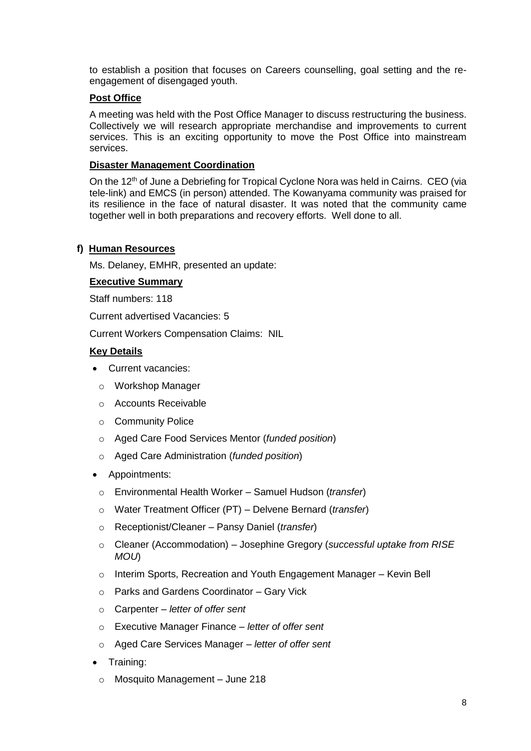to establish a position that focuses on Careers counselling, goal setting and the reengagement of disengaged youth.

### **Post Office**

A meeting was held with the Post Office Manager to discuss restructuring the business. Collectively we will research appropriate merchandise and improvements to current services. This is an exciting opportunity to move the Post Office into mainstream services.

#### **Disaster Management Coordination**

On the 12<sup>th</sup> of June a Debriefing for Tropical Cyclone Nora was held in Cairns. CEO (via tele-link) and EMCS (in person) attended. The Kowanyama community was praised for its resilience in the face of natural disaster. It was noted that the community came together well in both preparations and recovery efforts. Well done to all.

#### **f) Human Resources**

Ms. Delaney, EMHR, presented an update:

#### **Executive Summary**

Staff numbers: 118

Current advertised Vacancies: 5

Current Workers Compensation Claims: NIL

#### **Key Details**

- Current vacancies:
	- o Workshop Manager
	- o Accounts Receivable
	- o Community Police
	- o Aged Care Food Services Mentor (*funded position*)
	- o Aged Care Administration (*funded position*)
- Appointments:
	- o Environmental Health Worker Samuel Hudson (*transfer*)
	- o Water Treatment Officer (PT) Delvene Bernard (*transfer*)
	- o Receptionist/Cleaner Pansy Daniel (*transfer*)
	- o Cleaner (Accommodation) Josephine Gregory (*successful uptake from RISE MOU*)
	- o Interim Sports, Recreation and Youth Engagement Manager Kevin Bell
	- o Parks and Gardens Coordinator Gary Vick
	- o Carpenter *letter of offer sent*
	- o Executive Manager Finance *letter of offer sent*
	- o Aged Care Services Manager *letter of offer sent*
- Training:
	- o Mosquito Management June 218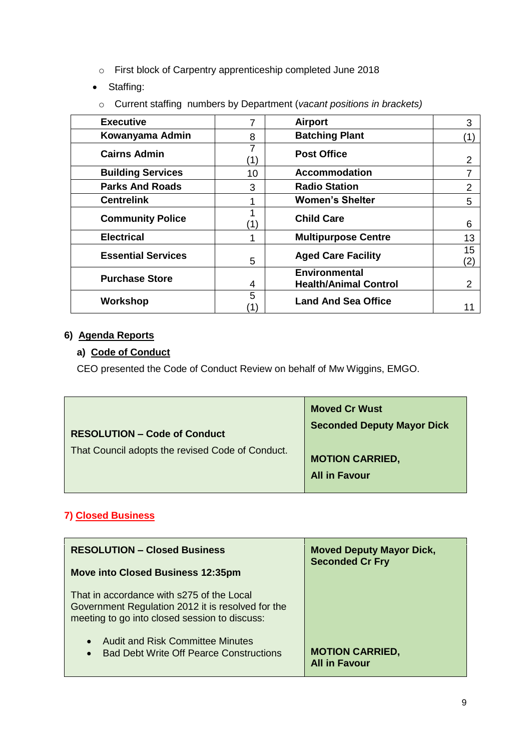- o First block of Carpentry apprenticeship completed June 2018
- Staffing:
- o Current staffing numbers by Department (*vacant positions in brackets)*

| <b>Executive</b>          |    | <b>Airport</b>                                       | 3              |
|---------------------------|----|------------------------------------------------------|----------------|
| Kowanyama Admin           | 8  | <b>Batching Plant</b>                                | (1)            |
| <b>Cairns Admin</b>       |    | <b>Post Office</b>                                   | $\overline{2}$ |
| <b>Building Services</b>  | 10 | <b>Accommodation</b>                                 | 7              |
| <b>Parks And Roads</b>    | 3  | <b>Radio Station</b>                                 | $\overline{2}$ |
| <b>Centrelink</b>         |    | <b>Women's Shelter</b>                               | 5              |
| <b>Community Police</b>   |    | <b>Child Care</b>                                    | 6              |
| <b>Electrical</b>         |    | <b>Multipurpose Centre</b>                           | 13             |
| <b>Essential Services</b> | 5  | <b>Aged Care Facility</b>                            | 15<br>(2)      |
| <b>Purchase Store</b>     | 4  | <b>Environmental</b><br><b>Health/Animal Control</b> | 2              |
| Workshop                  | 5  | <b>Land And Sea Office</b>                           |                |

## **6) Agenda Reports**

# **a) Code of Conduct**

CEO presented the Code of Conduct Review on behalf of Mw Wiggins, EMGO.

| <b>Moved Cr Wust</b>                           |
|------------------------------------------------|
| <b>Seconded Deputy Mayor Dick</b>              |
| <b>MOTION CARRIED,</b><br><b>All in Favour</b> |
|                                                |

# **7) Closed Business**

| <b>RESOLUTION - Closed Business</b><br><b>Move into Closed Business 12:35pm</b>                                                                 | <b>Moved Deputy Mayor Dick,</b><br><b>Seconded Cr Fry</b> |
|-------------------------------------------------------------------------------------------------------------------------------------------------|-----------------------------------------------------------|
| That in accordance with s275 of the Local<br>Government Regulation 2012 it is resolved for the<br>meeting to go into closed session to discuss: |                                                           |
| <b>Audit and Risk Committee Minutes</b><br>$\bullet$<br><b>Bad Debt Write Off Pearce Constructions</b><br>$\bullet$                             | <b>MOTION CARRIED,</b><br><b>All in Favour</b>            |